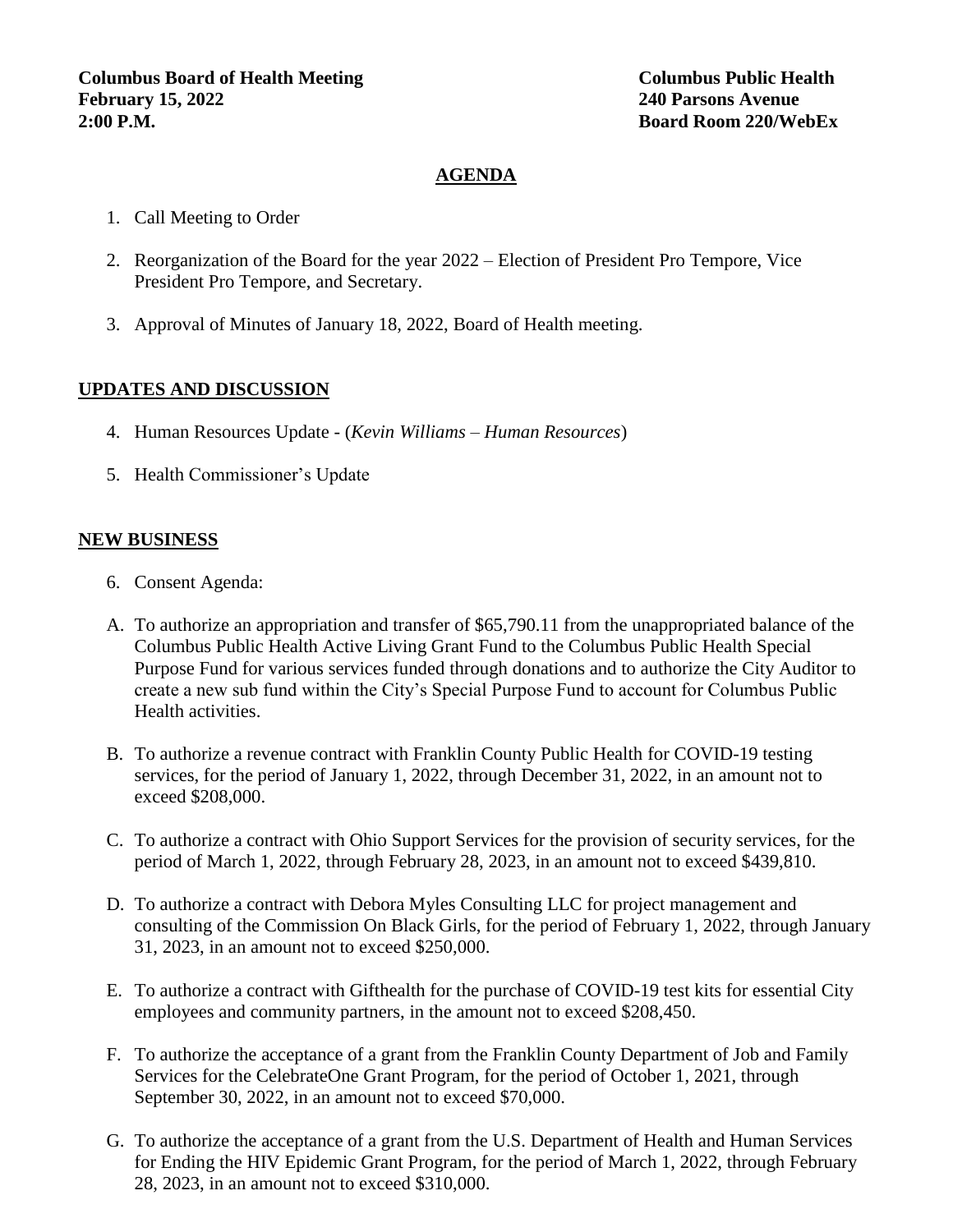## **AGENDA**

- 1. Call Meeting to Order
- 2. Reorganization of the Board for the year 2022 Election of President Pro Tempore, Vice President Pro Tempore, and Secretary.
- 3. Approval of Minutes of January 18, 2022, Board of Health meeting.

#### **UPDATES AND DISCUSSION**

- 4. Human Resources Update (*Kevin Williams – Human Resources*)
- 5. Health Commissioner's Update

#### **NEW BUSINESS**

- 6. Consent Agenda:
- A. To authorize an appropriation and transfer of \$65,790.11 from the unappropriated balance of the Columbus Public Health Active Living Grant Fund to the Columbus Public Health Special Purpose Fund for various services funded through donations and to authorize the City Auditor to create a new sub fund within the City's Special Purpose Fund to account for Columbus Public Health activities.
- B. To authorize a revenue contract with Franklin County Public Health for COVID-19 testing services, for the period of January 1, 2022, through December 31, 2022, in an amount not to exceed \$208,000.
- C. To authorize a contract with Ohio Support Services for the provision of security services, for the period of March 1, 2022, through February 28, 2023, in an amount not to exceed \$439,810.
- D. To authorize a contract with Debora Myles Consulting LLC for project management and consulting of the Commission On Black Girls, for the period of February 1, 2022, through January 31, 2023, in an amount not to exceed \$250,000.
- E. To authorize a contract with Gifthealth for the purchase of COVID-19 test kits for essential City employees and community partners, in the amount not to exceed \$208,450.
- F. To authorize the acceptance of a grant from the Franklin County Department of Job and Family Services for the CelebrateOne Grant Program, for the period of October 1, 2021, through September 30, 2022, in an amount not to exceed \$70,000.
- G. To authorize the acceptance of a grant from the U.S. Department of Health and Human Services for Ending the HIV Epidemic Grant Program, for the period of March 1, 2022, through February 28, 2023, in an amount not to exceed \$310,000.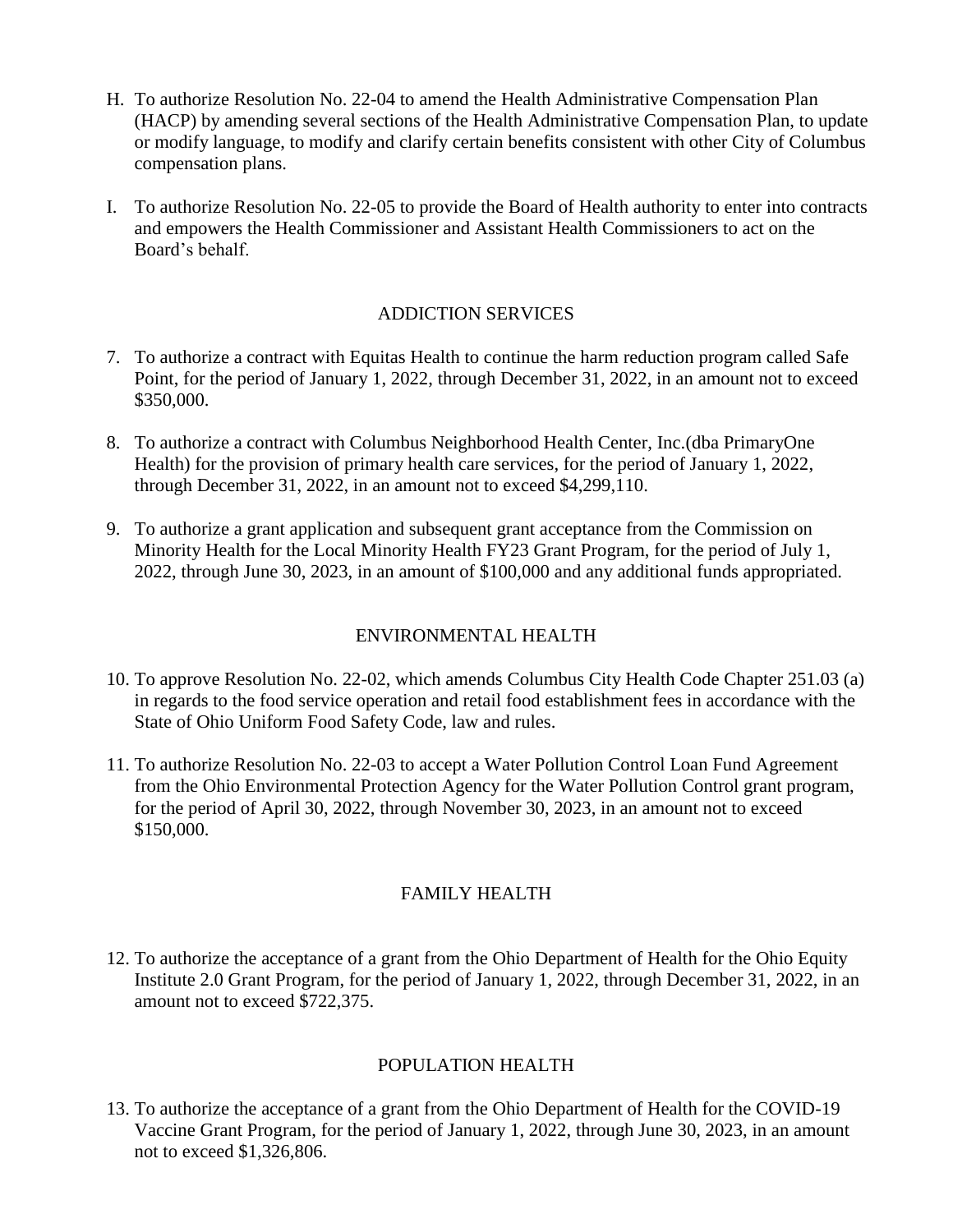- H. To authorize Resolution No. 22-04 to amend the Health Administrative Compensation Plan (HACP) by amending several sections of the Health Administrative Compensation Plan, to update or modify language, to modify and clarify certain benefits consistent with other City of Columbus compensation plans.
- I. To authorize Resolution No. 22-05 to provide the Board of Health authority to enter into contracts and empowers the Health Commissioner and Assistant Health Commissioners to act on the Board's behalf.

## ADDICTION SERVICES

- 7. To authorize a contract with Equitas Health to continue the harm reduction program called Safe Point, for the period of January 1, 2022, through December 31, 2022, in an amount not to exceed \$350,000.
- 8. To authorize a contract with Columbus Neighborhood Health Center, Inc.(dba PrimaryOne Health) for the provision of primary health care services, for the period of January 1, 2022, through December 31, 2022, in an amount not to exceed \$4,299,110.
- 9. To authorize a grant application and subsequent grant acceptance from the Commission on Minority Health for the Local Minority Health FY23 Grant Program, for the period of July 1, 2022, through June 30, 2023, in an amount of \$100,000 and any additional funds appropriated.

#### ENVIRONMENTAL HEALTH

- 10. To approve Resolution No. 22-02, which amends Columbus City Health Code Chapter 251.03 (a) in regards to the food service operation and retail food establishment fees in accordance with the State of Ohio Uniform Food Safety Code, law and rules.
- 11. To authorize Resolution No. 22-03 to accept a Water Pollution Control Loan Fund Agreement from the Ohio Environmental Protection Agency for the Water Pollution Control grant program, for the period of April 30, 2022, through November 30, 2023, in an amount not to exceed \$150,000.

#### FAMILY HEALTH

12. To authorize the acceptance of a grant from the Ohio Department of Health for the Ohio Equity Institute 2.0 Grant Program, for the period of January 1, 2022, through December 31, 2022, in an amount not to exceed \$722,375.

#### POPULATION HEALTH

13. To authorize the acceptance of a grant from the Ohio Department of Health for the COVID-19 Vaccine Grant Program, for the period of January 1, 2022, through June 30, 2023, in an amount not to exceed \$1,326,806.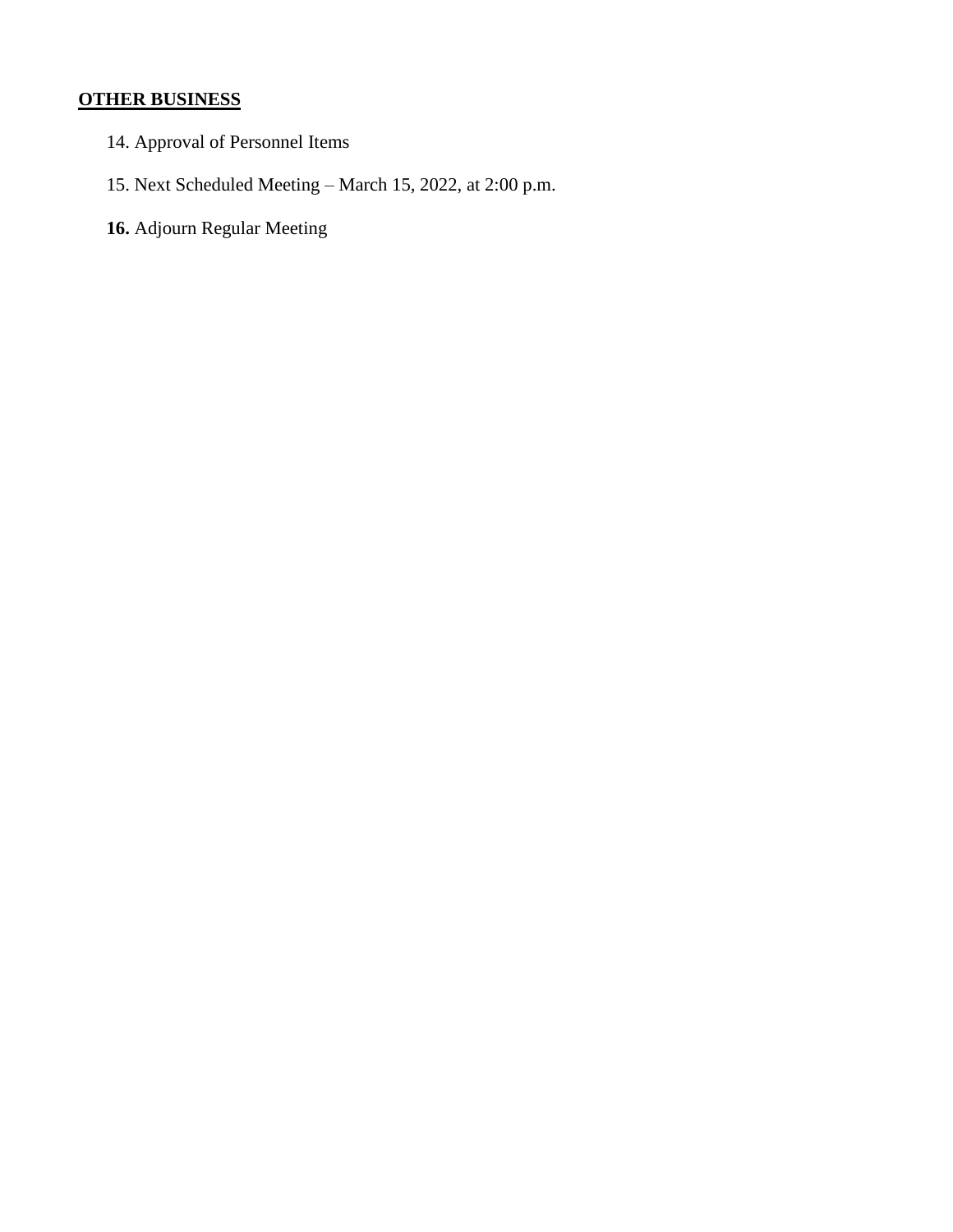# **OTHER BUSINESS**

- 14. Approval of Personnel Items
- 15. Next Scheduled Meeting March 15, 2022, at 2:00 p.m.
- **16.** Adjourn Regular Meeting